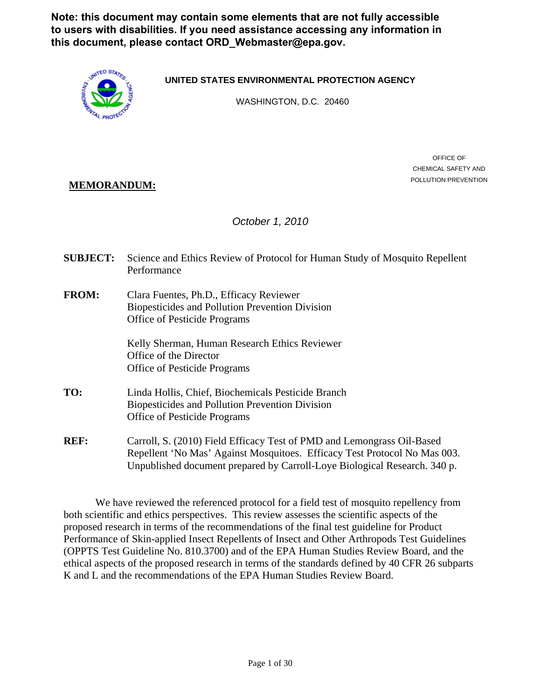**Note: this document may contain some elements that are not fully accessible to users with disabilities. If you need assistance accessing any information in this document, please contact ORD\_Webmaster@epa.gov.**



**UNITED STATES ENVIRONMENTAL PROTECTION AGENCY**

WASHINGTON, D.C. 20460

# **MEMORANDUM:**  $POLUTION PREVENTION$

OFFICE OF CHEMICAL SAFETY AND

# *October 1, 2010*

- **SUBJECT:** Science and Ethics Review of Protocol for Human Study of Mosquito Repellent Performance
- **FROM:** Clara Fuentes, Ph.D., Efficacy Reviewer Biopesticides and Pollution Prevention Division Office of Pesticide Programs

Kelly Sherman, Human Research Ethics Reviewer Office of the Director Office of Pesticide Programs

- TO: Linda Hollis, Chief, Biochemicals Pesticide Branch Biopesticides and Pollution Prevention Division Office of Pesticide Programs
- **REF:** Carroll, S. (2010) Field Efficacy Test of PMD and Lemongrass Oil-Based Repellent 'No Mas' Against Mosquitoes. Efficacy Test Protocol No Mas 003. Unpublished document prepared by Carroll-Loye Biological Research. 340 p.

We have reviewed the referenced protocol for a field test of mosquito repellency from both scientific and ethics perspectives. This review assesses the scientific aspects of the proposed research in terms of the recommendations of the final test guideline for Product Performance of Skin-applied Insect Repellents of Insect and Other Arthropods Test Guidelines (OPPTS Test Guideline No. 810.3700) and of the EPA Human Studies Review Board, and the ethical aspects of the proposed research in terms of the standards defined by 40 CFR 26 subparts K and L and the recommendations of the EPA Human Studies Review Board.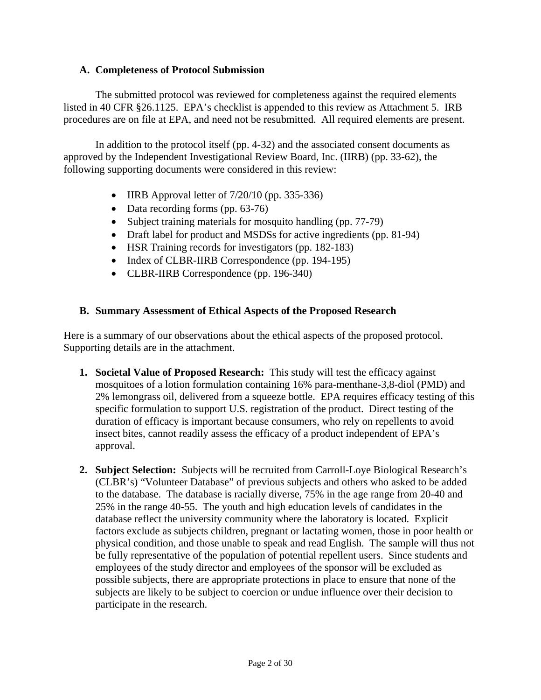# **A. Completeness of Protocol Submission**

The submitted protocol was reviewed for completeness against the required elements listed in 40 CFR §26.1125. EPA's checklist is appended to this review as Attachment 5. IRB procedures are on file at EPA, and need not be resubmitted. All required elements are present.

In addition to the protocol itself (pp. 4-32) and the associated consent documents as approved by the Independent Investigational Review Board, Inc. (IIRB) (pp. 33-62), the following supporting documents were considered in this review:

- IIRB Approval letter of  $7/20/10$  (pp. 335-336)
- Data recording forms (pp. 63-76)
- Subject training materials for mosquito handling (pp. 77-79)
- Draft label for product and MSDSs for active ingredients (pp. 81-94)
- HSR Training records for investigators (pp. 182-183)
- Index of CLBR-IIRB Correspondence (pp. 194-195)
- CLBR-IIRB Correspondence (pp. 196-340)

# **B. Summary Assessment of Ethical Aspects of the Proposed Research**

Here is a summary of our observations about the ethical aspects of the proposed protocol. Supporting details are in the attachment.

- **1. Societal Value of Proposed Research:** This study will test the efficacy against mosquitoes of a lotion formulation containing 16% para-menthane-3,8-diol (PMD) and 2% lemongrass oil, delivered from a squeeze bottle. EPA requires efficacy testing of this specific formulation to support U.S. registration of the product. Direct testing of the duration of efficacy is important because consumers, who rely on repellents to avoid insect bites, cannot readily assess the efficacy of a product independent of EPA's approval.
- **2. Subject Selection:** Subjects will be recruited from Carroll-Loye Biological Research's (CLBR's) "Volunteer Database" of previous subjects and others who asked to be added to the database. The database is racially diverse, 75% in the age range from 20-40 and 25% in the range 40-55. The youth and high education levels of candidates in the database reflect the university community where the laboratory is located. Explicit factors exclude as subjects children, pregnant or lactating women, those in poor health or physical condition, and those unable to speak and read English. The sample will thus not be fully representative of the population of potential repellent users. Since students and employees of the study director and employees of the sponsor will be excluded as possible subjects, there are appropriate protections in place to ensure that none of the subjects are likely to be subject to coercion or undue influence over their decision to participate in the research.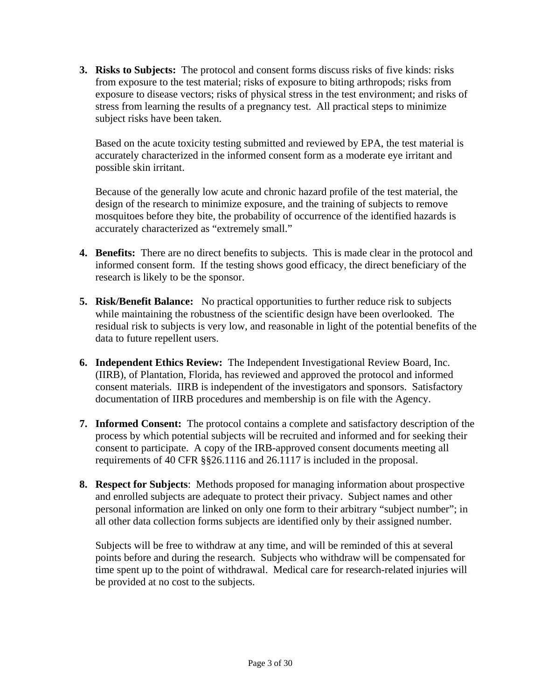**3. Risks to Subjects:** The protocol and consent forms discuss risks of five kinds: risks from exposure to the test material; risks of exposure to biting arthropods; risks from exposure to disease vectors; risks of physical stress in the test environment; and risks of stress from learning the results of a pregnancy test. All practical steps to minimize subject risks have been taken.

Based on the acute toxicity testing submitted and reviewed by EPA, the test material is accurately characterized in the informed consent form as a moderate eye irritant and possible skin irritant.

Because of the generally low acute and chronic hazard profile of the test material, the design of the research to minimize exposure, and the training of subjects to remove mosquitoes before they bite, the probability of occurrence of the identified hazards is accurately characterized as "extremely small."

- **4. Benefits:** There are no direct benefits to subjects. This is made clear in the protocol and informed consent form. If the testing shows good efficacy, the direct beneficiary of the research is likely to be the sponsor.
- **5. Risk/Benefit Balance:** No practical opportunities to further reduce risk to subjects while maintaining the robustness of the scientific design have been overlooked. The residual risk to subjects is very low, and reasonable in light of the potential benefits of the data to future repellent users.
- **6. Independent Ethics Review:** The Independent Investigational Review Board, Inc. (IIRB), of Plantation, Florida, has reviewed and approved the protocol and informed consent materials. IIRB is independent of the investigators and sponsors. Satisfactory documentation of IIRB procedures and membership is on file with the Agency.
- **7. Informed Consent:** The protocol contains a complete and satisfactory description of the process by which potential subjects will be recruited and informed and for seeking their consent to participate. A copy of the IRB-approved consent documents meeting all requirements of 40 CFR §§26.1116 and 26.1117 is included in the proposal.
- **8.** Respect for Subjects: Methods proposed for managing information about prospective and enrolled subjects are adequate to protect their privacy. Subject names and other personal information are linked on only one form to their arbitrary "subject number"; in all other data collection forms subjects are identified only by their assigned number.

Subjects will be free to withdraw at any time, and will be reminded of this at several points before and during the research. Subjects who withdraw will be compensated for time spent up to the point of withdrawal. Medical care for research-related injuries will be provided at no cost to the subjects.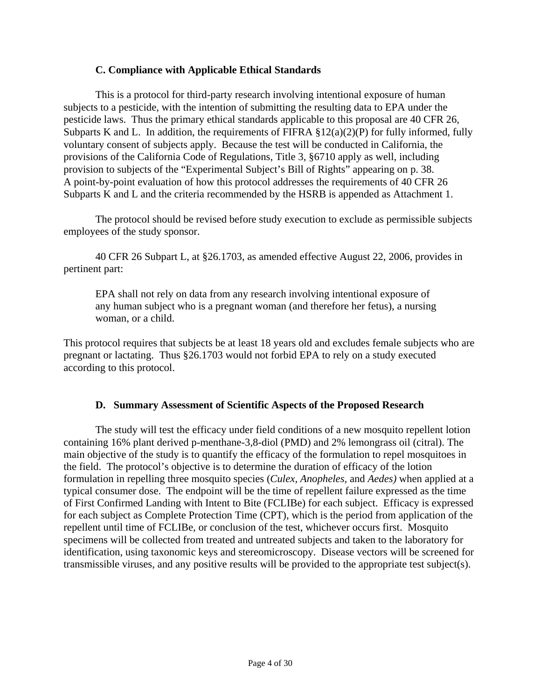# **C. Compliance with Applicable Ethical Standards**

This is a protocol for third-party research involving intentional exposure of human subjects to a pesticide, with the intention of submitting the resulting data to EPA under the pesticide laws. Thus the primary ethical standards applicable to this proposal are 40 CFR 26, Subparts K and L. In addition, the requirements of FIFRA  $\S 12(a)(2)(P)$  for fully informed, fully voluntary consent of subjects apply. Because the test will be conducted in California, the provisions of the California Code of Regulations, Title 3, §6710 apply as well, including provision to subjects of the "Experimental Subject's Bill of Rights" appearing on p. 38. A point-by-point evaluation of how this protocol addresses the requirements of 40 CFR 26 Subparts K and L and the criteria recommended by the HSRB is appended as Attachment 1.

The protocol should be revised before study execution to exclude as permissible subjects employees of the study sponsor.

40 CFR 26 Subpart L, at §26.1703, as amended effective August 22, 2006, provides in pertinent part:

EPA shall not rely on data from any research involving intentional exposure of any human subject who is a pregnant woman (and therefore her fetus), a nursing woman, or a child.

This protocol requires that subjects be at least 18 years old and excludes female subjects who are pregnant or lactating. Thus §26.1703 would not forbid EPA to rely on a study executed according to this protocol.

### **D. Summary Assessment of Scientific Aspects of the Proposed Research**

The study will test the efficacy under field conditions of a new mosquito repellent lotion containing 16% plant derived p-menthane-3,8-diol (PMD) and 2% lemongrass oil (citral). The main objective of the study is to quantify the efficacy of the formulation to repel mosquitoes in the field. The protocol's objective is to determine the duration of efficacy of the lotion formulation in repelling three mosquito species (*Culex, Anopheles,* and *Aedes)* when applied at a typical consumer dose. The endpoint will be the time of repellent failure expressed as the time of First Confirmed Landing with Intent to Bite (FCLIBe) for each subject. Efficacy is expressed for each subject as Complete Protection Time (CPT), which is the period from application of the repellent until time of FCLIBe, or conclusion of the test, whichever occurs first. Mosquito specimens will be collected from treated and untreated subjects and taken to the laboratory for identification, using taxonomic keys and stereomicroscopy. Disease vectors will be screened for transmissible viruses, and any positive results will be provided to the appropriate test subject(s).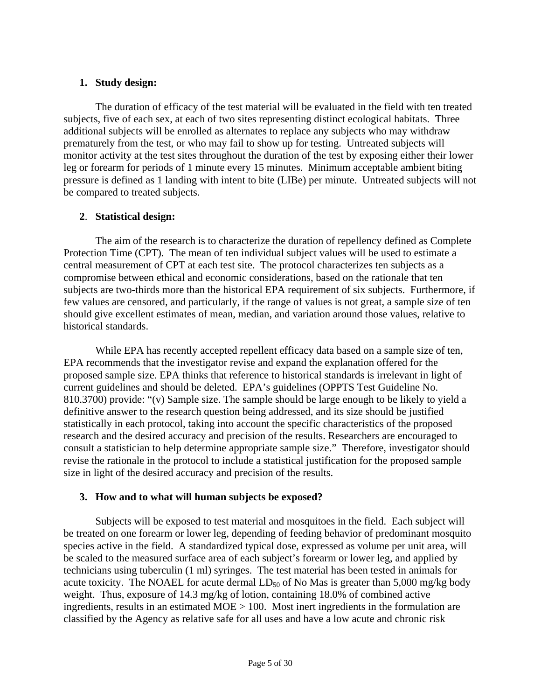# **1. Study design:**

The duration of efficacy of the test material will be evaluated in the field with ten treated subjects, five of each sex, at each of two sites representing distinct ecological habitats. Three additional subjects will be enrolled as alternates to replace any subjects who may withdraw prematurely from the test, or who may fail to show up for testing. Untreated subjects will monitor activity at the test sites throughout the duration of the test by exposing either their lower leg or forearm for periods of 1 minute every 15 minutes. Minimum acceptable ambient biting pressure is defined as 1 landing with intent to bite (LIBe) per minute. Untreated subjects will not be compared to treated subjects.

# **2**. **Statistical design:**

The aim of the research is to characterize the duration of repellency defined as Complete Protection Time (CPT). The mean of ten individual subject values will be used to estimate a central measurement of CPT at each test site. The protocol characterizes ten subjects as a compromise between ethical and economic considerations, based on the rationale that ten subjects are two-thirds more than the historical EPA requirement of six subjects. Furthermore, if few values are censored, and particularly, if the range of values is not great, a sample size of ten should give excellent estimates of mean, median, and variation around those values, relative to historical standards.

While EPA has recently accepted repellent efficacy data based on a sample size of ten, EPA recommends that the investigator revise and expand the explanation offered for the proposed sample size. EPA thinks that reference to historical standards is irrelevant in light of current guidelines and should be deleted. EPA's guidelines (OPPTS Test Guideline No. 810.3700) provide: "(v) Sample size. The sample should be large enough to be likely to yield a definitive answer to the research question being addressed, and its size should be justified statistically in each protocol, taking into account the specific characteristics of the proposed research and the desired accuracy and precision of the results. Researchers are encouraged to consult a statistician to help determine appropriate sample size." Therefore, investigator should revise the rationale in the protocol to include a statistical justification for the proposed sample size in light of the desired accuracy and precision of the results.

# **3. How and to what will human subjects be exposed?**

Subjects will be exposed to test material and mosquitoes in the field. Each subject will be treated on one forearm or lower leg, depending of feeding behavior of predominant mosquito species active in the field. A standardized typical dose, expressed as volume per unit area, will be scaled to the measured surface area of each subject's forearm or lower leg, and applied by technicians using tuberculin (1 ml) syringes. The test material has been tested in animals for acute toxicity. The NOAEL for acute dermal  $LD_{50}$  of No Mas is greater than 5,000 mg/kg body weight. Thus, exposure of 14.3 mg/kg of lotion, containing 18.0% of combined active ingredients, results in an estimated MOE > 100. Most inert ingredients in the formulation are classified by the Agency as relative safe for all uses and have a low acute and chronic risk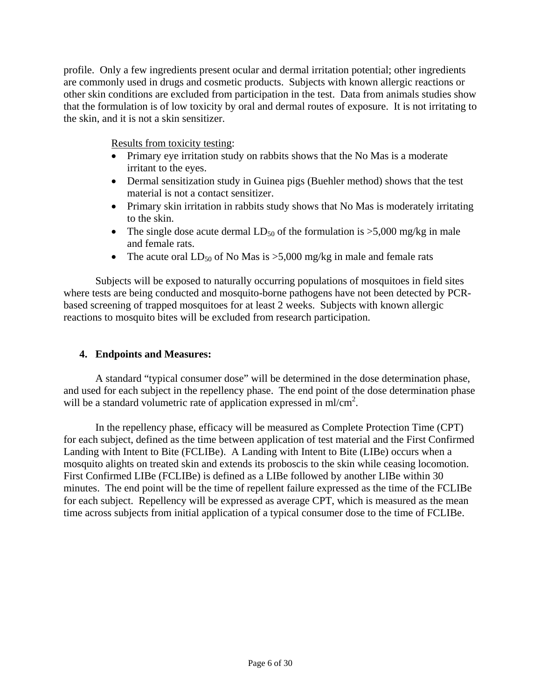the skin, and it is not a skin sensitizer.<br>Results from toxicity testing: profile. Only a few ingredients present ocular and dermal irritation potential; other ingredients are commonly used in drugs and cosmetic products. Subjects with known allergic reactions or other skin conditions are excluded from participation in the test. Data from animals studies show that the formulation is of low toxicity by oral and dermal routes of exposure. It is not irritating to

- Primary eye irritation study on rabbits shows that the No Mas is a moderate irritant to the eyes.
- Dermal sensitization study in Guinea pigs (Buehler method) shows that the test material is not a contact sensitizer.
- Primary skin irritation in rabbits study shows that No Mas is moderately irritating to the skin.
- The single dose acute dermal  $LD_{50}$  of the formulation is  $>5,000$  mg/kg in male and female rats.
- The acute oral  $LD_{50}$  of No Mas is >5,000 mg/kg in male and female rats

Subjects will be exposed to naturally occurring populations of mosquitoes in field sites where tests are being conducted and mosquito-borne pathogens have not been detected by PCRbased screening of trapped mosquitoes for at least 2 weeks. Subjects with known allergic reactions to mosquito bites will be excluded from research participation.

# **4. Endpoints and Measures:**

A standard "typical consumer dose" will be determined in the dose determination phase, and used for each subject in the repellency phase. The end point of the dose determination phase will be a standard volumetric rate of application expressed in ml/cm<sup>2</sup>.

In the repellency phase, efficacy will be measured as Complete Protection Time (CPT) for each subject, defined as the time between application of test material and the First Confirmed Landing with Intent to Bite (FCLIBe). A Landing with Intent to Bite (LIBe) occurs when a mosquito alights on treated skin and extends its proboscis to the skin while ceasing locomotion. First Confirmed LIBe (FCLIBe) is defined as a LIBe followed by another LIBe within 30 minutes. The end point will be the time of repellent failure expressed as the time of the FCLIBe for each subject. Repellency will be expressed as average CPT, which is measured as the mean time across subjects from initial application of a typical consumer dose to the time of FCLIBe.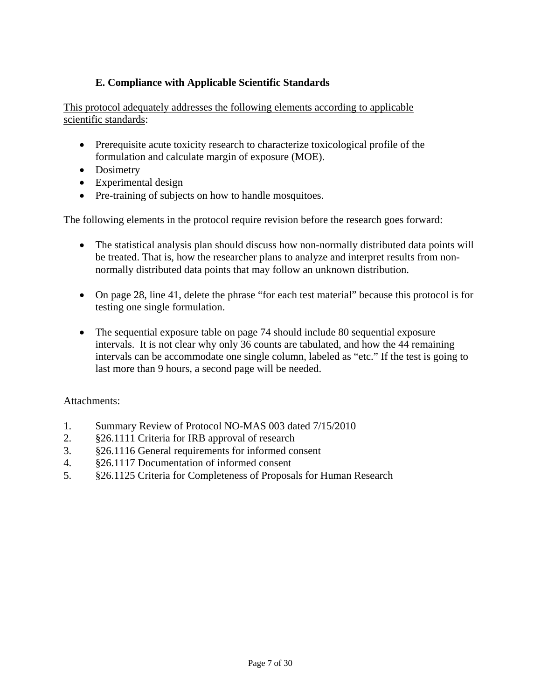# **E. Compliance with Applicable Scientific Standards**

This protocol adequately addresses the following elements according to applicable scientific standards:

- Prerequisite acute toxicity research to characterize toxicological profile of the formulation and calculate margin of exposure (MOE).
- Dosimetry
- • Experimental design
- Pre-training of subjects on how to handle mosquitoes.

The following elements in the protocol require revision before the research goes forward:

- The statistical analysis plan should discuss how non-normally distributed data points will be treated. That is, how the researcher plans to analyze and interpret results from nonnormally distributed data points that may follow an unknown distribution.
- On page 28, line 41, delete the phrase "for each test material" because this protocol is for testing one single formulation.
- The sequential exposure table on page 74 should include 80 sequential exposure intervals. It is not clear why only 36 counts are tabulated, and how the 44 remaining intervals can be accommodate one single column, labeled as "etc." If the test is going to last more than 9 hours, a second page will be needed.

### Attachments:

- 1. Summary Review of Protocol NO-MAS 003 dated 7/15/2010
- 2. §26.1111 Criteria for IRB approval of research
- 3. §26.1116 General requirements for informed consent
- 4. §26.1117 Documentation of informed consent
- 5. §26.1125 Criteria for Completeness of Proposals for Human Research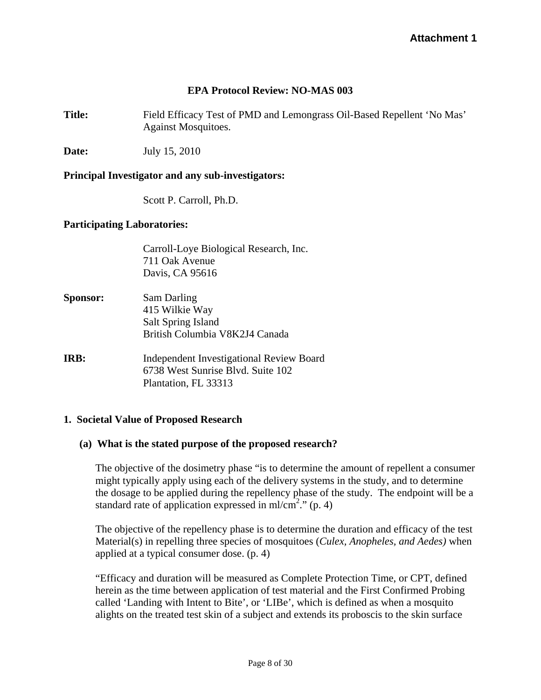# **EPA Protocol Review: NO-MAS 003**

**Title:** Field Efficacy Test of PMD and Lemongrass Oil-Based Repellent 'No Mas' Against Mosquitoes.

**Date:** July 15, 2010

#### **Principal Investigator and any sub-investigators:**

Scott P. Carroll, Ph.D.

#### **Participating Laboratories:**

Carroll-Loye Biological Research, Inc. 711 Oak Avenue Davis, CA 95616

- **Sponsor:** Sam Darling 415 Wilkie Way Salt Spring Island British Columbia V8K2J4 Canada
- **IRB:** Independent Investigational Review Board 6738 West Sunrise Blvd. Suite 102 Plantation, FL 33313

### **1. Societal Value of Proposed Research**

#### **(a) What is the stated purpose of the proposed research?**

The objective of the dosimetry phase "is to determine the amount of repellent a consumer might typically apply using each of the delivery systems in the study, and to determine the dosage to be applied during the repellency phase of the study. The endpoint will be a standard rate of application expressed in ml/cm<sup>2</sup>." (p. 4)

The objective of the repellency phase is to determine the duration and efficacy of the test Material(s) in repelling three species of mosquitoes (*Culex, Anopheles, and Aedes)* when applied at a typical consumer dose. (p. 4)

"Efficacy and duration will be measured as Complete Protection Time, or CPT, defined herein as the time between application of test material and the First Confirmed Probing called 'Landing with Intent to Bite', or 'LIBe', which is defined as when a mosquito alights on the treated test skin of a subject and extends its proboscis to the skin surface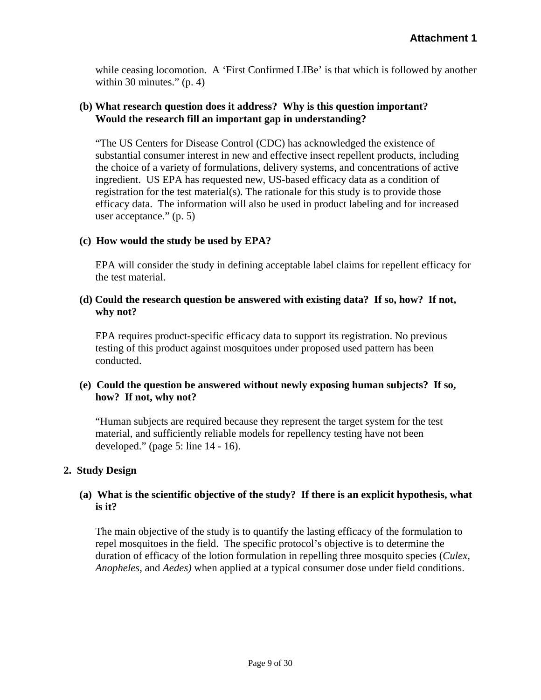while ceasing locomotion. A 'First Confirmed LIBe' is that which is followed by another within 30 minutes."  $(p. 4)$ 

### **(b) What research question does it address? Why is this question important? Would the research fill an important gap in understanding?**

"The US Centers for Disease Control (CDC) has acknowledged the existence of substantial consumer interest in new and effective insect repellent products, including the choice of a variety of formulations, delivery systems, and concentrations of active ingredient. US EPA has requested new, US-based efficacy data as a condition of registration for the test material(s). The rationale for this study is to provide those efficacy data. The information will also be used in product labeling and for increased user acceptance." (p. 5)

# **(c) How would the study be used by EPA?**

EPA will consider the study in defining acceptable label claims for repellent efficacy for the test material.

# **(d) Could the research question be answered with existing data? If so, how? If not, why not?**

EPA requires product-specific efficacy data to support its registration. No previous testing of this product against mosquitoes under proposed used pattern has been conducted.

# **(e) Could the question be answered without newly exposing human subjects? If so, how? If not, why not?**

"Human subjects are required because they represent the target system for the test material, and sufficiently reliable models for repellency testing have not been developed." (page 5: line 14 - 16).

# **2. Study Design**

# **(a) What is the scientific objective of the study? If there is an explicit hypothesis, what is it?**

The main objective of the study is to quantify the lasting efficacy of the formulation to repel mosquitoes in the field. The specific protocol's objective is to determine the duration of efficacy of the lotion formulation in repelling three mosquito species (*Culex, Anopheles,* and *Aedes)* when applied at a typical consumer dose under field conditions.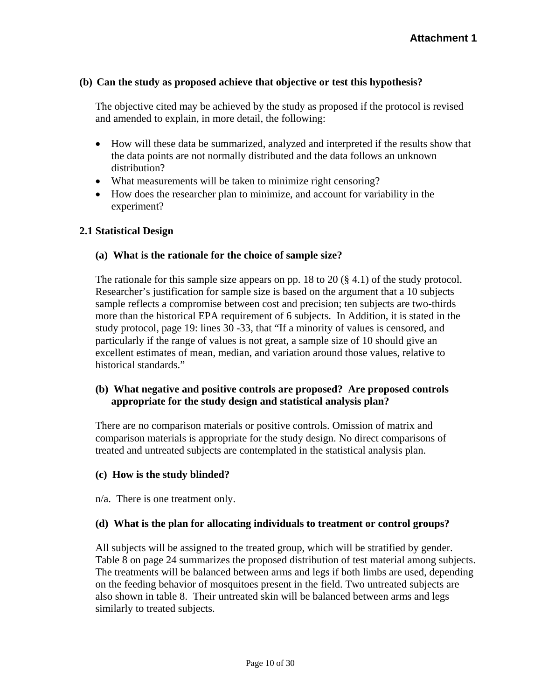# **(b) Can the study as proposed achieve that objective or test this hypothesis?**

The objective cited may be achieved by the study as proposed if the protocol is revised and amended to explain, in more detail, the following:

- How will these data be summarized, analyzed and interpreted if the results show that the data points are not normally distributed and the data follows an unknown distribution?
- What measurements will be taken to minimize right censoring?
- How does the researcher plan to minimize, and account for variability in the experiment?

### **2.1 Statistical Design**

#### **(a) What is the rationale for the choice of sample size?**

The rationale for this sample size appears on pp. 18 to 20  $(\S 4.1)$  of the study protocol. Researcher's justification for sample size is based on the argument that a 10 subjects sample reflects a compromise between cost and precision; ten subjects are two-thirds more than the historical EPA requirement of 6 subjects. In Addition, it is stated in the study protocol, page 19: lines 30 -33, that "If a minority of values is censored, and particularly if the range of values is not great, a sample size of 10 should give an excellent estimates of mean, median, and variation around those values, relative to historical standards."

# **(b) What negative and positive controls are proposed? Are proposed controls appropriate for the study design and statistical analysis plan?**

There are no comparison materials or positive controls. Omission of matrix and comparison materials is appropriate for the study design. No direct comparisons of treated and untreated subjects are contemplated in the statistical analysis plan.

### **(c) How is the study blinded?**

n/a. There is one treatment only.

### **(d) What is the plan for allocating individuals to treatment or control groups?**

All subjects will be assigned to the treated group, which will be stratified by gender. Table 8 on page 24 summarizes the proposed distribution of test material among subjects. The treatments will be balanced between arms and legs if both limbs are used, depending on the feeding behavior of mosquitoes present in the field. Two untreated subjects are also shown in table 8. Their untreated skin will be balanced between arms and legs similarly to treated subjects.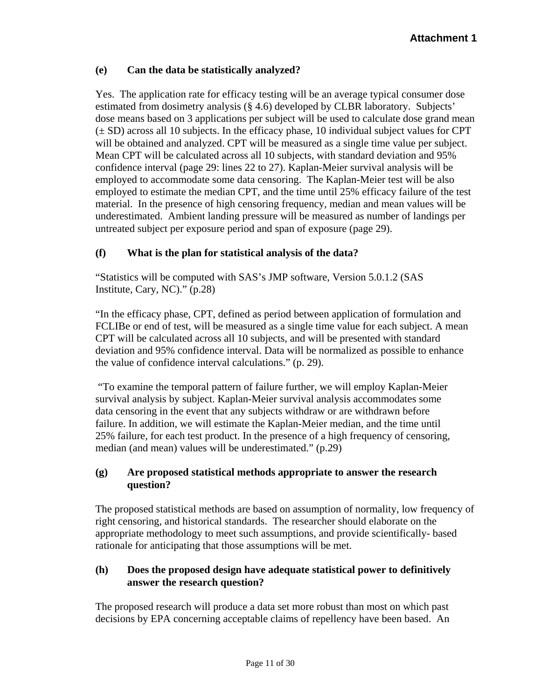# **(e) Can the data be statistically analyzed?**

Yes. The application rate for efficacy testing will be an average typical consumer dose estimated from dosimetry analysis (§ 4.6) developed by CLBR laboratory. Subjects' dose means based on 3 applications per subject will be used to calculate dose grand mean  $(\pm SD)$  across all 10 subjects. In the efficacy phase, 10 individual subject values for CPT will be obtained and analyzed. CPT will be measured as a single time value per subject. Mean CPT will be calculated across all 10 subjects, with standard deviation and 95% confidence interval (page 29: lines 22 to 27). Kaplan-Meier survival analysis will be employed to accommodate some data censoring. The Kaplan-Meier test will be also employed to estimate the median CPT, and the time until 25% efficacy failure of the test material. In the presence of high censoring frequency, median and mean values will be underestimated. Ambient landing pressure will be measured as number of landings per untreated subject per exposure period and span of exposure (page 29).

# **(f) What is the plan for statistical analysis of the data?**

"Statistics will be computed with SAS's JMP software, Version 5.0.1.2 (SAS Institute, Cary, NC)." (p.28)

"In the efficacy phase, CPT, defined as period between application of formulation and FCLIBe or end of test, will be measured as a single time value for each subject. A mean CPT will be calculated across all 10 subjects, and will be presented with standard deviation and 95% confidence interval. Data will be normalized as possible to enhance the value of confidence interval calculations." (p. 29).

 "To examine the temporal pattern of failure further, we will employ Kaplan-Meier survival analysis by subject. Kaplan-Meier survival analysis accommodates some data censoring in the event that any subjects withdraw or are withdrawn before failure. In addition, we will estimate the Kaplan-Meier median, and the time until 25% failure, for each test product. In the presence of a high frequency of censoring, median (and mean) values will be underestimated." (p.29)

# **(g) Are proposed statistical methods appropriate to answer the research question?**

The proposed statistical methods are based on assumption of normality, low frequency of right censoring, and historical standards. The researcher should elaborate on the appropriate methodology to meet such assumptions, and provide scientifically- based rationale for anticipating that those assumptions will be met.

# **(h) Does the proposed design have adequate statistical power to definitively answer the research question?**

The proposed research will produce a data set more robust than most on which past decisions by EPA concerning acceptable claims of repellency have been based. An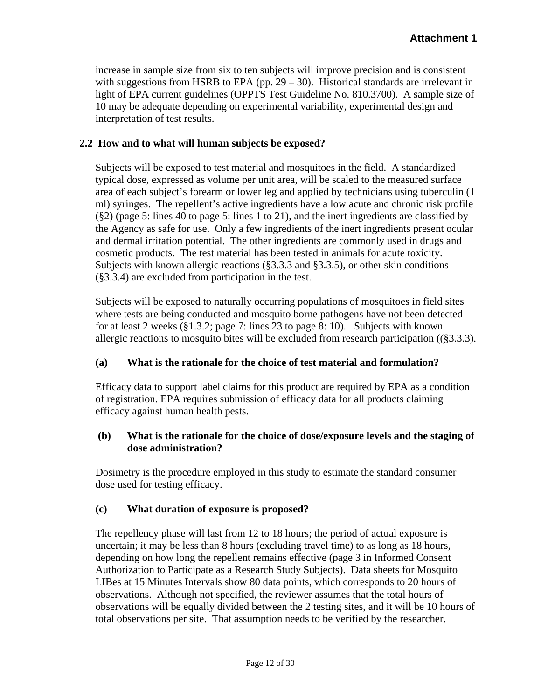increase in sample size from six to ten subjects will improve precision and is consistent with suggestions from HSRB to EPA (pp.  $29 - 30$ ). Historical standards are irrelevant in light of EPA current guidelines (OPPTS Test Guideline No. 810.3700). A sample size of 10 may be adequate depending on experimental variability, experimental design and interpretation of test results.

# **2.2 How and to what will human subjects be exposed?**

Subjects will be exposed to test material and mosquitoes in the field. A standardized typical dose, expressed as volume per unit area, will be scaled to the measured surface area of each subject's forearm or lower leg and applied by technicians using tuberculin (1 ml) syringes. The repellent's active ingredients have a low acute and chronic risk profile (§2) (page 5: lines 40 to page 5: lines 1 to 21), and the inert ingredients are classified by the Agency as safe for use. Only a few ingredients of the inert ingredients present ocular and dermal irritation potential. The other ingredients are commonly used in drugs and cosmetic products. The test material has been tested in animals for acute toxicity. Subjects with known allergic reactions (§3.3.3 and §3.3.5), or other skin conditions (§3.3.4) are excluded from participation in the test.

Subjects will be exposed to naturally occurring populations of mosquitoes in field sites where tests are being conducted and mosquito borne pathogens have not been detected for at least 2 weeks (§1.3.2; page 7: lines 23 to page 8: 10). Subjects with known allergic reactions to mosquito bites will be excluded from research participation ((§3.3.3).

### **(a) What is the rationale for the choice of test material and formulation?**

Efficacy data to support label claims for this product are required by EPA as a condition of registration. EPA requires submission of efficacy data for all products claiming efficacy against human health pests.

# **(b) What is the rationale for the choice of dose/exposure levels and the staging of dose administration?**

Dosimetry is the procedure employed in this study to estimate the standard consumer dose used for testing efficacy.

# **(c) What duration of exposure is proposed?**

The repellency phase will last from 12 to 18 hours; the period of actual exposure is uncertain; it may be less than 8 hours (excluding travel time) to as long as 18 hours, depending on how long the repellent remains effective (page 3 in Informed Consent Authorization to Participate as a Research Study Subjects). Data sheets for Mosquito LIBes at 15 Minutes Intervals show 80 data points, which corresponds to 20 hours of observations. Although not specified, the reviewer assumes that the total hours of observations will be equally divided between the 2 testing sites, and it will be 10 hours of total observations per site. That assumption needs to be verified by the researcher.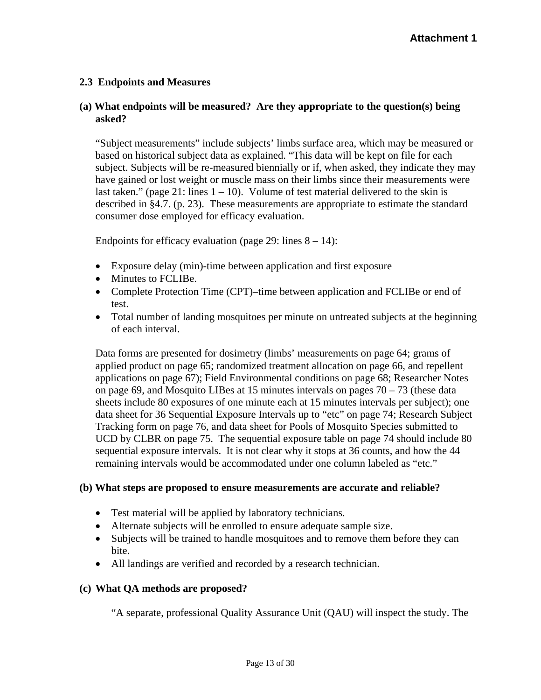# **2.3 Endpoints and Measures**

# **(a) What endpoints will be measured? Are they appropriate to the question(s) being asked?**

consumer dose employed for efficacy evaluation. "Subject measurements" include subjects' limbs surface area, which may be measured or based on historical subject data as explained. "This data will be kept on file for each subject. Subjects will be re-measured biennially or if, when asked, they indicate they may have gained or lost weight or muscle mass on their limbs since their measurements were last taken." (page 21: lines  $1 - 10$ ). Volume of test material delivered to the skin is described in §4.7. (p. 23). These measurements are appropriate to estimate the standard

Endpoints for efficacy evaluation (page 29: lines  $8 - 14$ ):

- Exposure delay (min)-time between application and first exposure
- Minutes to FCLIBe.
- Complete Protection Time (CPT)–time between application and FCLIBe or end of test.
- Total number of landing mosquitoes per minute on untreated subjects at the beginning of each interval.

Data forms are presented for dosimetry (limbs' measurements on page 64; grams of applied product on page 65; randomized treatment allocation on page 66, and repellent applications on page 67); Field Environmental conditions on page 68; Researcher Notes on page 69, and Mosquito LIBes at 15 minutes intervals on pages  $70 - 73$  (these data sheets include 80 exposures of one minute each at 15 minutes intervals per subject); one data sheet for 36 Sequential Exposure Intervals up to "etc" on page 74; Research Subject Tracking form on page 76, and data sheet for Pools of Mosquito Species submitted to UCD by CLBR on page 75. The sequential exposure table on page 74 should include 80 sequential exposure intervals. It is not clear why it stops at 36 counts, and how the 44 remaining intervals would be accommodated under one column labeled as "etc."

### **(b) What steps are proposed to ensure measurements are accurate and reliable?**

- Test material will be applied by laboratory technicians.
- Alternate subjects will be enrolled to ensure adequate sample size.
- Subjects will be trained to handle mosquitoes and to remove them before they can bite.
- All landings are verified and recorded by a research technician.

### **(c) What QA methods are proposed?**

"A separate, professional Quality Assurance Unit (QAU) will inspect the study. The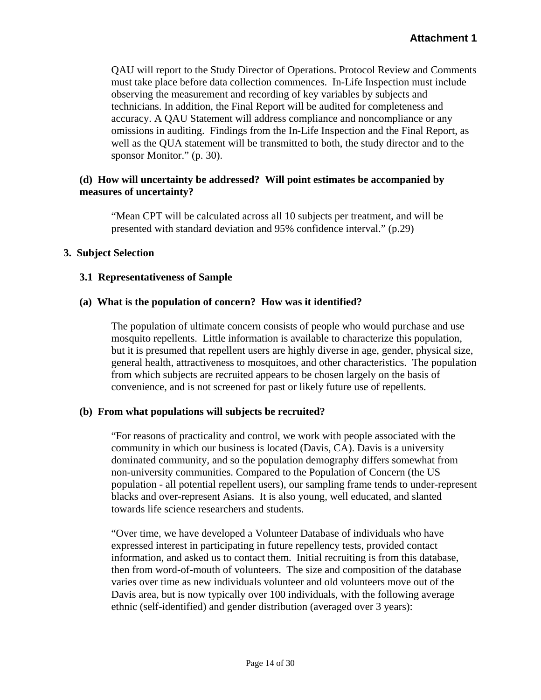QAU will report to the Study Director of Operations. Protocol Review and Comments must take place before data collection commences. In-Life Inspection must include observing the measurement and recording of key variables by subjects and technicians. In addition, the Final Report will be audited for completeness and accuracy. A QAU Statement will address compliance and noncompliance or any omissions in auditing. Findings from the In-Life Inspection and the Final Report, as well as the QUA statement will be transmitted to both, the study director and to the sponsor Monitor." (p. 30).

# **(d) How will uncertainty be addressed? Will point estimates be accompanied by measures of uncertainty?**

"Mean CPT will be calculated across all 10 subjects per treatment, and will be presented with standard deviation and 95% confidence interval." (p.29)

### **3. Subject Selection**

### **3.1 Representativeness of Sample**

# **(a) What is the population of concern? How was it identified?**

The population of ultimate concern consists of people who would purchase and use mosquito repellents. Little information is available to characterize this population, but it is presumed that repellent users are highly diverse in age, gender, physical size, general health, attractiveness to mosquitoes, and other characteristics. The population from which subjects are recruited appears to be chosen largely on the basis of convenience, and is not screened for past or likely future use of repellents.

### **(b) From what populations will subjects be recruited?**

"For reasons of practicality and control, we work with people associated with the community in which our business is located (Davis, CA). Davis is a university dominated community, and so the population demography differs somewhat from non-university communities. Compared to the Population of Concern (the US population - all potential repellent users), our sampling frame tends to under-represent blacks and over-represent Asians. It is also young, well educated, and slanted towards life science researchers and students.

"Over time, we have developed a Volunteer Database of individuals who have expressed interest in participating in future repellency tests, provided contact information, and asked us to contact them. Initial recruiting is from this database, then from word-of-mouth of volunteers. The size and composition of the database varies over time as new individuals volunteer and old volunteers move out of the Davis area, but is now typically over 100 individuals, with the following average ethnic (self-identified) and gender distribution (averaged over 3 years):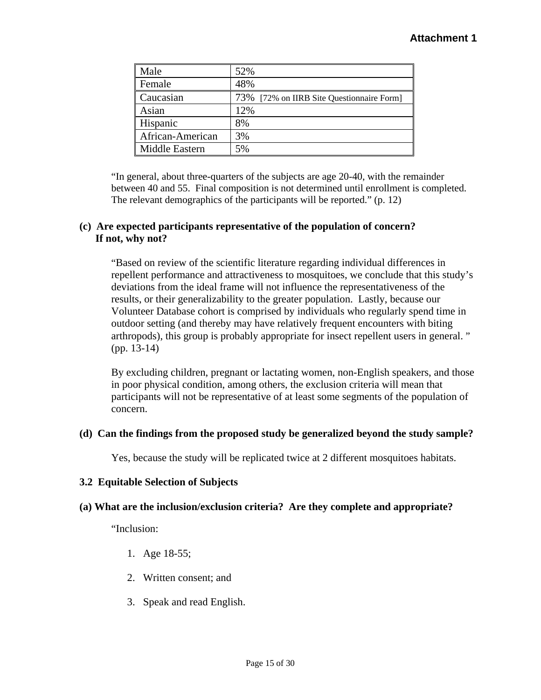| Male             | 52%                                       |
|------------------|-------------------------------------------|
| Female           | 48%                                       |
| Caucasian        | 73% [72% on IIRB Site Questionnaire Form] |
| Asian            | 12%                                       |
| Hispanic         | 8%                                        |
| African-American | 3%                                        |
| Middle Eastern   | 5%                                        |

"In general, about three-quarters of the subjects are age 20-40, with the remainder between 40 and 55. Final composition is not determined until enrollment is completed. The relevant demographics of the participants will be reported." (p. 12)

# **(c) Are expected participants representative of the population of concern? If not, why not?**

"Based on review of the scientific literature regarding individual differences in repellent performance and attractiveness to mosquitoes, we conclude that this study's deviations from the ideal frame will not influence the representativeness of the results, or their generalizability to the greater population. Lastly, because our Volunteer Database cohort is comprised by individuals who regularly spend time in outdoor setting (and thereby may have relatively frequent encounters with biting arthropods), this group is probably appropriate for insect repellent users in general. " (pp. 13-14)

By excluding children, pregnant or lactating women, non-English speakers, and those in poor physical condition, among others, the exclusion criteria will mean that participants will not be representative of at least some segments of the population of concern.

# **(d) Can the findings from the proposed study be generalized beyond the study sample?**

Yes, because the study will be replicated twice at 2 different mosquitoes habitats.

# **3.2 Equitable Selection of Subjects**

# **(a) What are the inclusion/exclusion criteria? Are they complete and appropriate?**

"Inclusion:

- 1. Age 18-55;
- 2. Written consent; and
- 3. Speak and read English.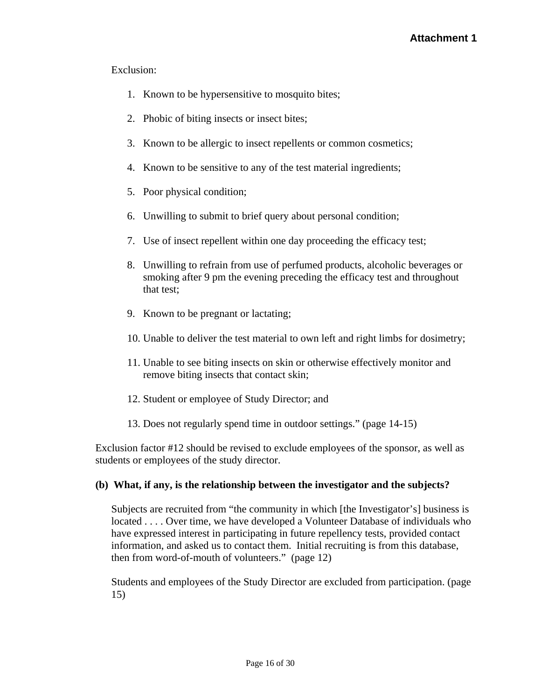# Exclusion:

- 1. Known to be hypersensitive to mosquito bites;
- 2. Phobic of biting insects or insect bites;
- 3. Known to be allergic to insect repellents or common cosmetics;
- 4. Known to be sensitive to any of the test material ingredients;<br>5. Poor physical condition;
- 
- 6. Unwilling to submit to brief query about personal condition;
- 7. Use of insect repellent within one day proceeding the efficacy test;
- 8. Unwilling to refrain from use of perfumed products, alcoholic beverages or smoking after 9 pm the evening preceding the efficacy test and throughout that test;
- 9. Known to be pregnant or lactating;
- 10. Unable to deliver the test material to own left and right limbs for dosimetry;
- 11. Unable to see biting insects on skin or otherwise effectively monitor and remove biting insects that contact skin;
- 12. Student or employee of Study Director; and
- 13. Does not regularly spend time in outdoor settings." (page 14-15)

Exclusion factor #12 should be revised to exclude employees of the sponsor, as well as students or employees of the study director.

### **(b) What, if any, is the relationship between the investigator and the subjects?**

Subjects are recruited from "the community in which [the Investigator's] business is located . . . . Over time, we have developed a Volunteer Database of individuals who have expressed interest in participating in future repellency tests, provided contact information, and asked us to contact them. Initial recruiting is from this database, then from word-of-mouth of volunteers." (page 12)

Students and employees of the Study Director are excluded from participation. (page 15)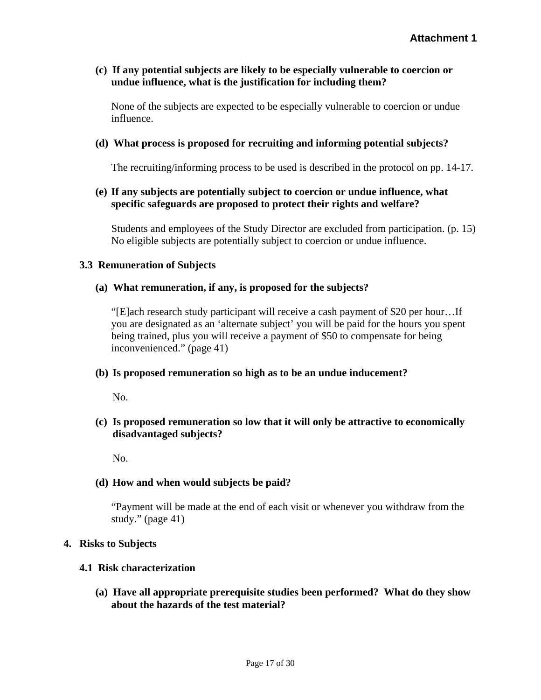### **(c) If any potential subjects are likely to be especially vulnerable to coercion or undue influence, what is the justification for including them?**

None of the subjects are expected to be especially vulnerable to coercion or undue influence.

### **(d) What process is proposed for recruiting and informing potential subjects?**

The recruiting/informing process to be used is described in the protocol on pp. 14-17.

### **(e) If any subjects are potentially subject to coercion or undue influence, what specific safeguards are proposed to protect their rights and welfare?**

Students and employees of the Study Director are excluded from participation. (p. 15) No eligible subjects are potentially subject to coercion or undue influence.

#### **3.3 Remuneration of Subjects**

#### **(a) What remuneration, if any, is proposed for the subjects?**

"[E]ach research study participant will receive a cash payment of \$20 per hour…If you are designated as an 'alternate subject' you will be paid for the hours you spent being trained, plus you will receive a payment of \$50 to compensate for being inconvenienced." (page 41)

#### **(b) Is proposed remuneration so high as to be an undue inducement?**

No.

# **(c) Is proposed remuneration so low that it will only be attractive to economically disadvantaged subjects?**

No.

### **(d) How and when would subjects be paid?**

"Payment will be made at the end of each visit or whenever you withdraw from the study." (page 41)

#### **4. Risks to Subjects**

#### **4.1 Risk characterization**

**(a) Have all appropriate prerequisite studies been performed? What do they show about the hazards of the test material?**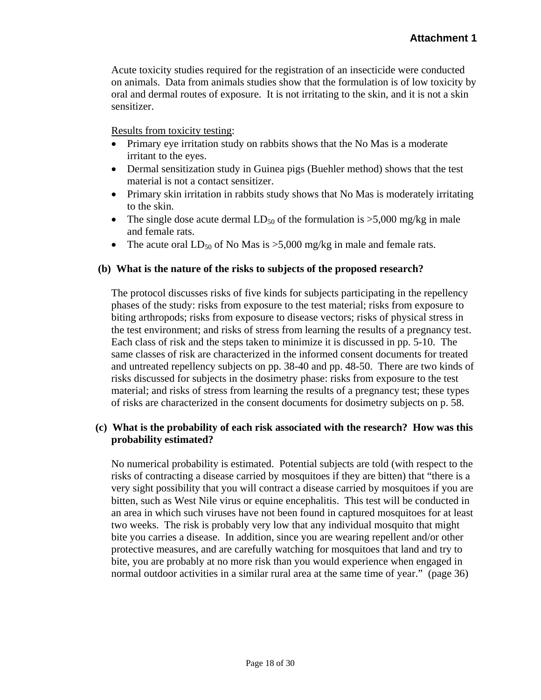Acute toxicity studies required for the registration of an insecticide were conducted on animals. Data from animals studies show that the formulation is of low toxicity by oral and dermal routes of exposure. It is not irritating to the skin, and it is not a skin sensitizer.

Results from toxicity testing:

- Primary eye irritation study on rabbits shows that the No Mas is a moderate irritant to the eyes.
- Dermal sensitization study in Guinea pigs (Buehler method) shows that the test material is not a contact sensitizer.
- Primary skin irritation in rabbits study shows that No Mas is moderately irritating to the skin.
- The single dose acute dermal  $LD_{50}$  of the formulation is >5,000 mg/kg in male and female rats.
- The acute oral  $LD_{50}$  of No Mas is >5,000 mg/kg in male and female rats.

### **(b) What is the nature of the risks to subjects of the proposed research?**

The protocol discusses risks of five kinds for subjects participating in the repellency phases of the study: risks from exposure to the test material; risks from exposure to biting arthropods; risks from exposure to disease vectors; risks of physical stress in the test environment; and risks of stress from learning the results of a pregnancy test. Each class of risk and the steps taken to minimize it is discussed in pp. 5-10. The same classes of risk are characterized in the informed consent documents for treated and untreated repellency subjects on pp. 38-40 and pp. 48-50. There are two kinds of risks discussed for subjects in the dosimetry phase: risks from exposure to the test material; and risks of stress from learning the results of a pregnancy test; these types of risks are characterized in the consent documents for dosimetry subjects on p. 58.

### **(c) What is the probability of each risk associated with the research? How was this probability estimated?**

No numerical probability is estimated. Potential subjects are told (with respect to the risks of contracting a disease carried by mosquitoes if they are bitten) that "there is a very sight possibility that you will contract a disease carried by mosquitoes if you are bitten, such as West Nile virus or equine encephalitis. This test will be conducted in an area in which such viruses have not been found in captured mosquitoes for at least two weeks. The risk is probably very low that any individual mosquito that might bite you carries a disease. In addition, since you are wearing repellent and/or other protective measures, and are carefully watching for mosquitoes that land and try to bite, you are probably at no more risk than you would experience when engaged in normal outdoor activities in a similar rural area at the same time of year." (page 36)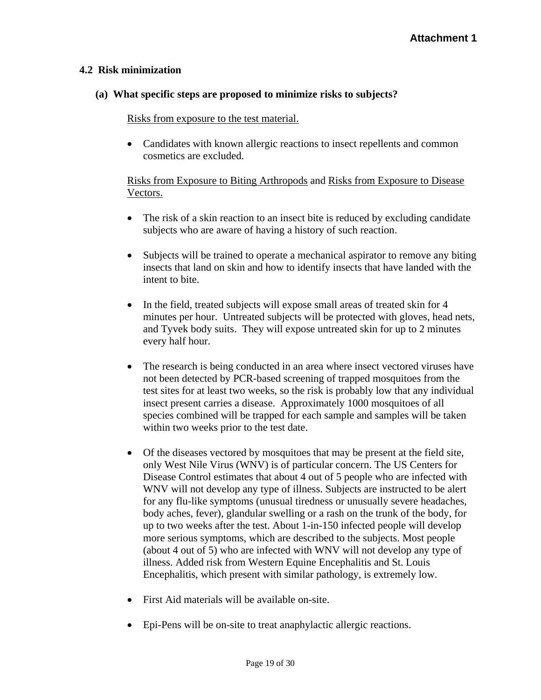### **4.2 Risk minimization**

### **(a) What specific steps are proposed to minimize risks to subjects?**

### Risks from exposure to the test material.

• Candidates with known allergic reactions to insect repellents and common cosmetics are excluded.

# Risks from Exposure to Biting Arthropods and Risks from Exposure to Disease Vectors.

- The risk of a skin reaction to an insect bite is reduced by excluding candidate subjects who are aware of having a history of such reaction.
- Subjects will be trained to operate a mechanical aspirator to remove any biting insects that land on skin and how to identify insects that have landed with the intent to bite.
- In the field, treated subjects will expose small areas of treated skin for 4 minutes per hour. Untreated subjects will be protected with gloves, head nets, and Tyvek body suits. They will expose untreated skin for up to 2 minutes every half hour.
- The research is being conducted in an area where insect vectored viruses have not been detected by PCR-based screening of trapped mosquitoes from the test sites for at least two weeks, so the risk is probably low that any individual insect present carries a disease. Approximately 1000 mosquitoes of all species combined will be trapped for each sample and samples will be taken within two weeks prior to the test date.
- Of the diseases vectored by mosquitoes that may be present at the field site, only West Nile Virus (WNV) is of particular concern. The US Centers for Disease Control estimates that about 4 out of 5 people who are infected with WNV will not develop any type of illness. Subjects are instructed to be alert for any flu-like symptoms (unusual tiredness or unusually severe headaches, body aches, fever), glandular swelling or a rash on the trunk of the body, for up to two weeks after the test. About 1-in-150 infected people will develop more serious symptoms, which are described to the subjects. Most people (about 4 out of 5) who are infected with WNV will not develop any type of illness. Added risk from Western Equine Encephalitis and St. Louis Encephalitis, which present with similar pathology, is extremely low.
- First Aid materials will be available on-site.
- Epi-Pens will be on-site to treat anaphylactic allergic reactions.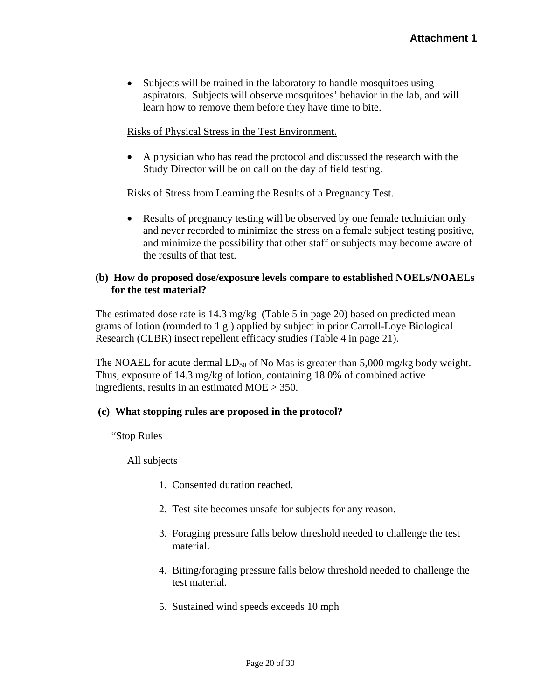• Subjects will be trained in the laboratory to handle mosquitoes using aspirators. Subjects will observe mosquitoes' behavior in the lab, and will learn how to remove them before they have time to bite.

# Risks of Physical Stress in the Test Environment.

• A physician who has read the protocol and discussed the research with the Study Director will be on call on the day of field testing.

### Risks of Stress from Learning the Results of a Pregnancy Test.

• Results of pregnancy testing will be observed by one female technician only and never recorded to minimize the stress on a female subject testing positive, and minimize the possibility that other staff or subjects may become aware of the results of that test.

# **(b) How do proposed dose/exposure levels compare to established NOELs/NOAELs for the test material?**

The estimated dose rate is 14.3 mg/kg (Table 5 in page 20) based on predicted mean grams of lotion (rounded to 1 g.) applied by subject in prior Carroll-Loye Biological Research (CLBR) insect repellent efficacy studies (Table 4 in page 21).

The NOAEL for acute dermal  $LD_{50}$  of No Mas is greater than 5,000 mg/kg body weight. Thus, exposure of 14.3 mg/kg of lotion, containing 18.0% of combined active ingredients, results in an estimated MOE > 350.

### **(c) What stopping rules are proposed in the protocol?**

"Stop Rules

All subjects

- 1. Consented duration reached.
- 2. Test site becomes unsafe for subjects for any reason.
- 3. Foraging pressure falls below threshold needed to challenge the test material.
- 4. Biting/foraging pressure falls below threshold needed to challenge the test material.
- 5. Sustained wind speeds exceeds 10 mph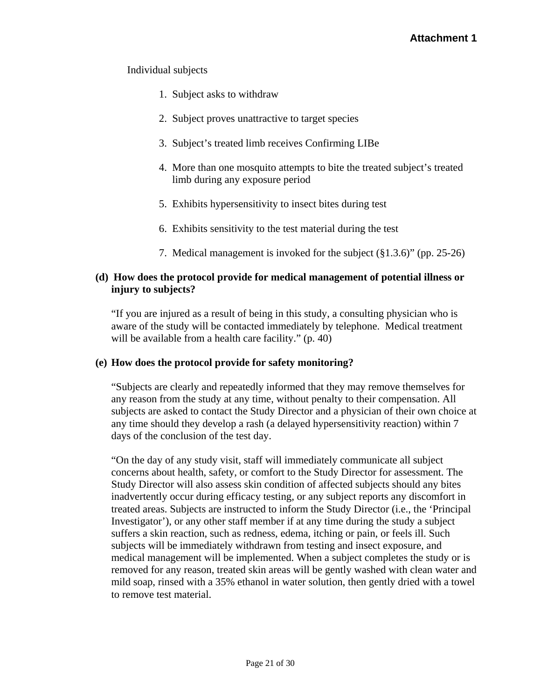# Individual subjects

- 1. Subject asks to withdraw
- 2. Subject proves unattractive to target species
- 3. Subject's treated limb receives Confirming LIBe
- 4. More than one mosquito attempts to bite the treated subject's treated limb during any exposure period
- 5. Exhibits hypersensitivity to insect bites during test
- 6. Exhibits sensitivity to the test material during the test
- 7. Medical management is invoked for the subject (§1.3.6)" (pp. 25-26)

### **(d) How does the protocol provide for medical management of potential illness or injury to subjects?**

"If you are injured as a result of being in this study, a consulting physician who is aware of the study will be contacted immediately by telephone. Medical treatment will be available from a health care facility." (p. 40)

### **(e) How does the protocol provide for safety monitoring?**

"Subjects are clearly and repeatedly informed that they may remove themselves for any reason from the study at any time, without penalty to their compensation. All subjects are asked to contact the Study Director and a physician of their own choice at any time should they develop a rash (a delayed hypersensitivity reaction) within 7 days of the conclusion of the test day.

"On the day of any study visit, staff will immediately communicate all subject concerns about health, safety, or comfort to the Study Director for assessment. The Study Director will also assess skin condition of affected subjects should any bites inadvertently occur during efficacy testing, or any subject reports any discomfort in treated areas. Subjects are instructed to inform the Study Director (i.e., the 'Principal Investigator'), or any other staff member if at any time during the study a subject suffers a skin reaction, such as redness, edema, itching or pain, or feels ill. Such subjects will be immediately withdrawn from testing and insect exposure, and medical management will be implemented. When a subject completes the study or is removed for any reason, treated skin areas will be gently washed with clean water and mild soap, rinsed with a 35% ethanol in water solution, then gently dried with a towel to remove test material.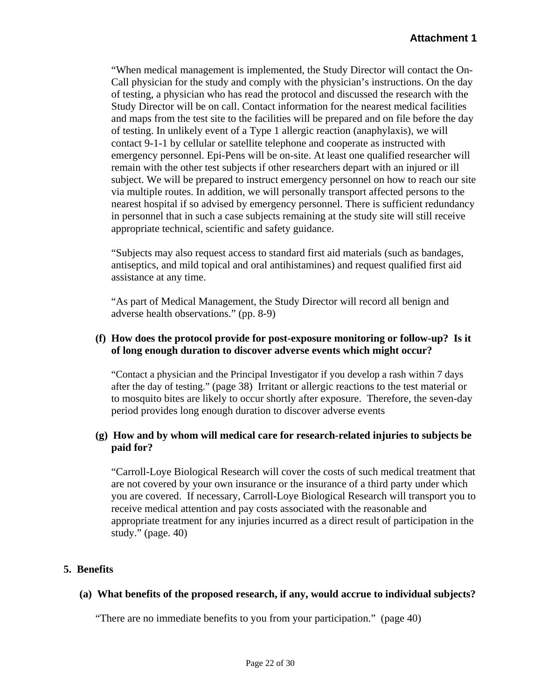"When medical management is implemented, the Study Director will contact the On-Call physician for the study and comply with the physician's instructions. On the day of testing, a physician who has read the protocol and discussed the research with the Study Director will be on call. Contact information for the nearest medical facilities and maps from the test site to the facilities will be prepared and on file before the day of testing. In unlikely event of a Type 1 allergic reaction (anaphylaxis), we will contact 9-1-1 by cellular or satellite telephone and cooperate as instructed with emergency personnel. Epi-Pens will be on-site. At least one qualified researcher will remain with the other test subjects if other researchers depart with an injured or ill subject. We will be prepared to instruct emergency personnel on how to reach our site via multiple routes. In addition, we will personally transport affected persons to the nearest hospital if so advised by emergency personnel. There is sufficient redundancy in personnel that in such a case subjects remaining at the study site will still receive appropriate technical, scientific and safety guidance.

"Subjects may also request access to standard first aid materials (such as bandages, antiseptics, and mild topical and oral antihistamines) and request qualified first aid assistance at any time.

"As part of Medical Management, the Study Director will record all benign and adverse health observations." (pp. 8-9)

### **(f) How does the protocol provide for post-exposure monitoring or follow-up? Is it of long enough duration to discover adverse events which might occur?**

"Contact a physician and the Principal Investigator if you develop a rash within 7 days after the day of testing." (page 38) Irritant or allergic reactions to the test material or to mosquito bites are likely to occur shortly after exposure. Therefore, the seven-day period provides long enough duration to discover adverse events

# **(g) How and by whom will medical care for research-related injuries to subjects be paid for?**

"Carroll-Loye Biological Research will cover the costs of such medical treatment that are not covered by your own insurance or the insurance of a third party under which you are covered. If necessary, Carroll-Loye Biological Research will transport you to receive medical attention and pay costs associated with the reasonable and appropriate treatment for any injuries incurred as a direct result of participation in the study." (page. 40)

# **5. Benefits**

# **(a) What benefits of the proposed research, if any, would accrue to individual subjects?**

"There are no immediate benefits to you from your participation." (page 40)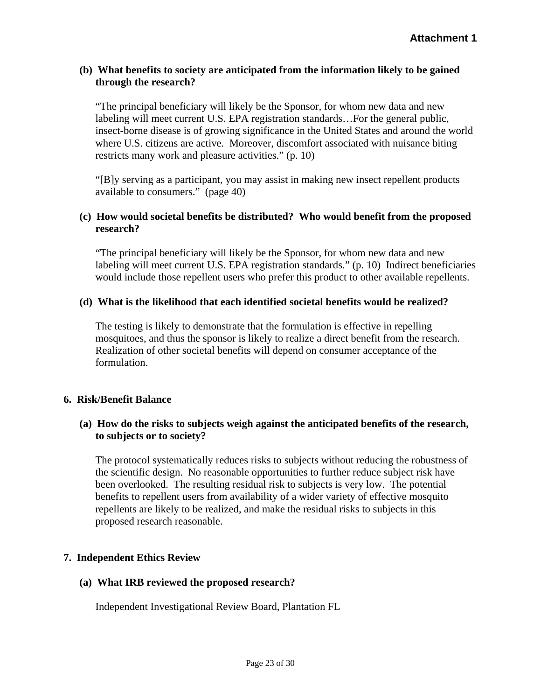# **(b) What benefits to society are anticipated from the information likely to be gained through the research?**

"The principal beneficiary will likely be the Sponsor, for whom new data and new labeling will meet current U.S. EPA registration standards…For the general public, insect-borne disease is of growing significance in the United States and around the world where U.S. citizens are active. Moreover, discomfort associated with nuisance biting restricts many work and pleasure activities." (p. 10)

"[B]y serving as a participant, you may assist in making new insect repellent products available to consumers." (page 40)

### **(c) How would societal benefits be distributed? Who would benefit from the proposed research?**

"The principal beneficiary will likely be the Sponsor, for whom new data and new labeling will meet current U.S. EPA registration standards." (p. 10) Indirect beneficiaries would include those repellent users who prefer this product to other available repellents.

# **(d) What is the likelihood that each identified societal benefits would be realized?**

The testing is likely to demonstrate that the formulation is effective in repelling mosquitoes, and thus the sponsor is likely to realize a direct benefit from the research. Realization of other societal benefits will depend on consumer acceptance of the formulation.

### **6. Risk/Benefit Balance**

# **(a) How do the risks to subjects weigh against the anticipated benefits of the research, to subjects or to society?**

The protocol systematically reduces risks to subjects without reducing the robustness of the scientific design. No reasonable opportunities to further reduce subject risk have been overlooked. The resulting residual risk to subjects is very low. The potential benefits to repellent users from availability of a wider variety of effective mosquito repellents are likely to be realized, and make the residual risks to subjects in this proposed research reasonable.

### **7. Independent Ethics Review**

### **(a) What IRB reviewed the proposed research?**

Independent Investigational Review Board, Plantation FL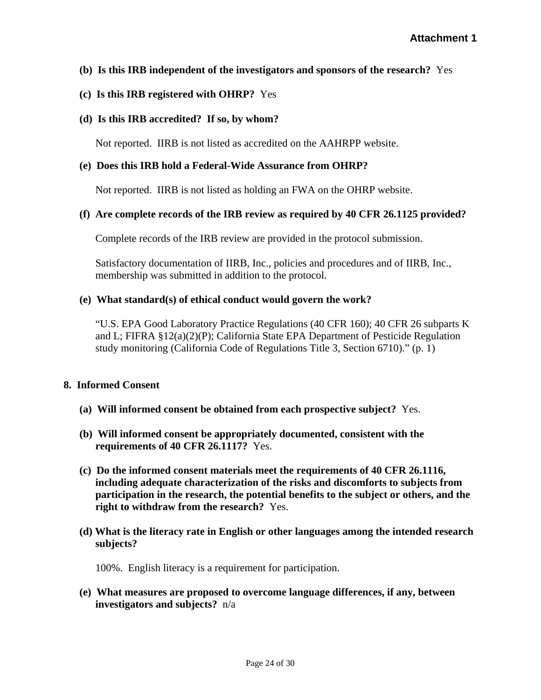# **(b) Is this IRB independent of the investigators and sponsors of the research?** Yes

### **(c) Is this IRB registered with OHRP?** Yes

### **(d) Is this IRB accredited? If so, by whom?**

Not reported. IIRB is not listed as accredited on the AAHRPP website.

#### **(e) Does this IRB hold a Federal-Wide Assurance from OHRP?**

Not reported. IIRB is not listed as holding an FWA on the OHRP website.

#### **(f) Are complete records of the IRB review as required by 40 CFR 26.1125 provided?**

Complete records of the IRB review are provided in the protocol submission.

Satisfactory documentation of IIRB, Inc., policies and procedures and of IIRB, Inc., membership was submitted in addition to the protocol.

#### **(e) What standard(s) of ethical conduct would govern the work?**

"U.S. EPA Good Laboratory Practice Regulations (40 CFR 160); 40 CFR 26 subparts K and L; FIFRA §12(a)(2)(P); California State EPA Department of Pesticide Regulation study monitoring (California Code of Regulations Title 3, Section 6710)." (p. 1)

#### **8. Informed Consent**

- **(a) Will informed consent be obtained from each prospective subject?** Yes.
- **(b) Will informed consent be appropriately documented, consistent with the requirements of 40 CFR 26.1117?** Yes.
- **(c) Do the informed consent materials meet the requirements of 40 CFR 26.1116, including adequate characterization of the risks and discomforts to subjects from participation in the research, the potential benefits to the subject or others, and the right to withdraw from the research?** Yes.
- **subjects? (d) What is the literacy rate in English or other languages among the intended research**

100%. English literacy is a requirement for participation.

**(e) What measures are proposed to overcome language differences, if any, between investigators and subjects?** n/a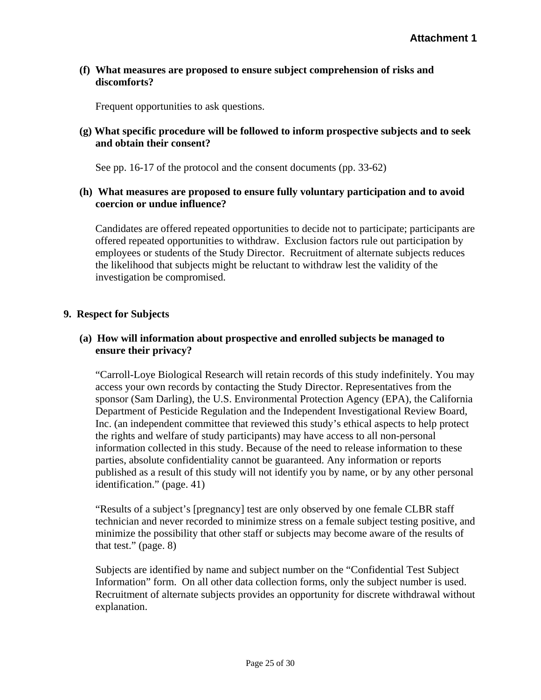### **discomforts? (f) What measures are proposed to ensure subject comprehension of risks and**

Frequent opportunities to ask questions.

### **and obtain their consent? (g) What specific procedure will be followed to inform prospective subjects and to seek**

See pp. 16-17 of the protocol and the consent documents (pp. 33-62)

### **(h) What measures are proposed to ensure fully voluntary participation and to avoid coercion or undue influence?**

Candidates are offered repeated opportunities to decide not to participate; participants are offered repeated opportunities to withdraw. Exclusion factors rule out participation by employees or students of the Study Director. Recruitment of alternate subjects reduces the likelihood that subjects might be reluctant to withdraw lest the validity of the investigation be compromised.

# **9. Respect for Subjects**

# **(a) How will information about prospective and enrolled subjects be managed to ensure their privacy?**

"Carroll-Loye Biological Research will retain records of this study indefinitely. You may access your own records by contacting the Study Director. Representatives from the sponsor (Sam Darling), the U.S. Environmental Protection Agency (EPA), the California Department of Pesticide Regulation and the Independent Investigational Review Board, Inc. (an independent committee that reviewed this study's ethical aspects to help protect the rights and welfare of study participants) may have access to all non-personal information collected in this study. Because of the need to release information to these parties, absolute confidentiality cannot be guaranteed. Any information or reports published as a result of this study will not identify you by name, or by any other personal identification." (page. 41)

"Results of a subject's [pregnancy] test are only observed by one female CLBR staff technician and never recorded to minimize stress on a female subject testing positive, and minimize the possibility that other staff or subjects may become aware of the results of that test." (page. 8)

Subjects are identified by name and subject number on the "Confidential Test Subject Information" form. On all other data collection forms, only the subject number is used. Recruitment of alternate subjects provides an opportunity for discrete withdrawal without explanation.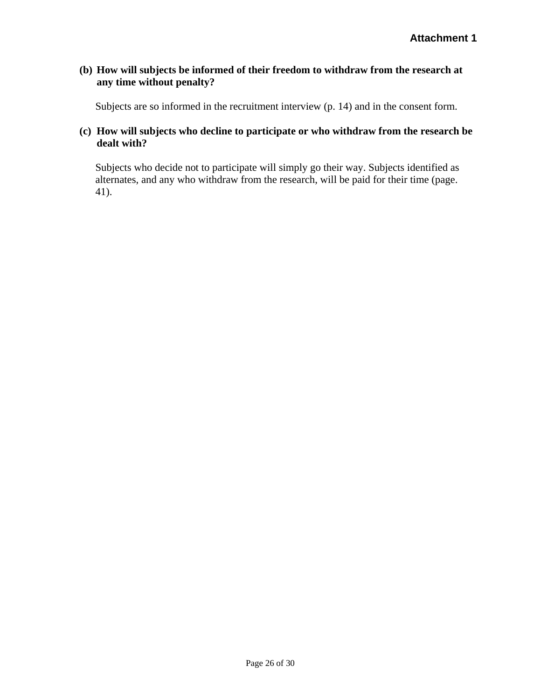# **(b) How will subjects be informed of their freedom to withdraw from the research at any time without penalty?**

Subjects are so informed in the recruitment interview (p. 14) and in the consent form.

# **(c) How will subjects who decline to participate or who withdraw from the research be dealt with?**

Subjects who decide not to participate will simply go their way. Subjects identified as alternates, and any who withdraw from the research, will be paid for their time (page. 41).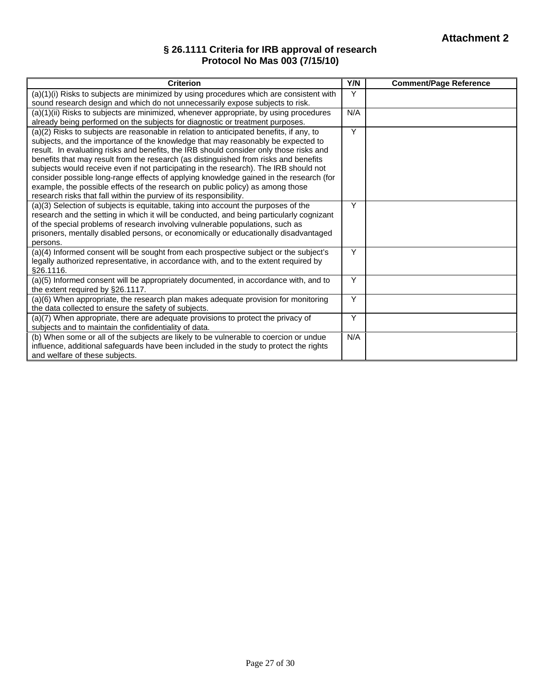### **§ 26.1111 Criteria for IRB approval of research Protocol No Mas 003 (7/15/10)**

| <b>Criterion</b>                                                                                                                                                                                                                                                                                                                                                                                                                                                                                                                                                                                                                                                                                         | Y/N | <b>Comment/Page Reference</b> |
|----------------------------------------------------------------------------------------------------------------------------------------------------------------------------------------------------------------------------------------------------------------------------------------------------------------------------------------------------------------------------------------------------------------------------------------------------------------------------------------------------------------------------------------------------------------------------------------------------------------------------------------------------------------------------------------------------------|-----|-------------------------------|
| (a)(1)(i) Risks to subjects are minimized by using procedures which are consistent with<br>sound research design and which do not unnecessarily expose subjects to risk.                                                                                                                                                                                                                                                                                                                                                                                                                                                                                                                                 | Υ   |                               |
| (a)(1)(ii) Risks to subjects are minimized, whenever appropriate, by using procedures<br>already being performed on the subjects for diagnostic or treatment purposes.                                                                                                                                                                                                                                                                                                                                                                                                                                                                                                                                   | N/A |                               |
| (a)(2) Risks to subjects are reasonable in relation to anticipated benefits, if any, to<br>subjects, and the importance of the knowledge that may reasonably be expected to<br>result. In evaluating risks and benefits, the IRB should consider only those risks and<br>benefits that may result from the research (as distinguished from risks and benefits<br>subjects would receive even if not participating in the research). The IRB should not<br>consider possible long-range effects of applying knowledge gained in the research (for<br>example, the possible effects of the research on public policy) as among those<br>research risks that fall within the purview of its responsibility. | Y   |                               |
| (a)(3) Selection of subjects is equitable, taking into account the purposes of the<br>research and the setting in which it will be conducted, and being particularly cognizant<br>of the special problems of research involving vulnerable populations, such as<br>prisoners, mentally disabled persons, or economically or educationally disadvantaged<br>persons.                                                                                                                                                                                                                                                                                                                                      | Y   |                               |
| (a)(4) Informed consent will be sought from each prospective subject or the subject's<br>legally authorized representative, in accordance with, and to the extent required by<br>§26.1116.                                                                                                                                                                                                                                                                                                                                                                                                                                                                                                               | Y   |                               |
| (a)(5) Informed consent will be appropriately documented, in accordance with, and to<br>the extent required by §26.1117.                                                                                                                                                                                                                                                                                                                                                                                                                                                                                                                                                                                 | Y   |                               |
| (a)(6) When appropriate, the research plan makes adequate provision for monitoring<br>the data collected to ensure the safety of subjects.                                                                                                                                                                                                                                                                                                                                                                                                                                                                                                                                                               | Y   |                               |
| (a)(7) When appropriate, there are adequate provisions to protect the privacy of<br>subjects and to maintain the confidentiality of data.                                                                                                                                                                                                                                                                                                                                                                                                                                                                                                                                                                | Y   |                               |
| (b) When some or all of the subjects are likely to be vulnerable to coercion or undue<br>influence, additional safeguards have been included in the study to protect the rights<br>and welfare of these subjects.                                                                                                                                                                                                                                                                                                                                                                                                                                                                                        |     |                               |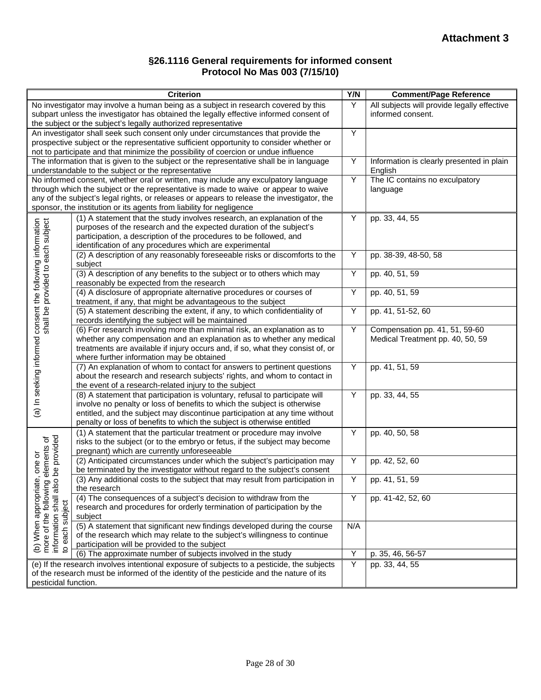#### **§26.1116 General requirements for informed consent Protocol No Mas 003 (7/15/10)**

| Criterion                                                                                                                                                                                                                                                                                                                                                                         | Y/N            | <b>Comment/Page Reference</b>                                      |
|-----------------------------------------------------------------------------------------------------------------------------------------------------------------------------------------------------------------------------------------------------------------------------------------------------------------------------------------------------------------------------------|----------------|--------------------------------------------------------------------|
| No investigator may involve a human being as a subject in research covered by this<br>subpart unless the investigator has obtained the legally effective informed consent of<br>the subject or the subject's legally authorized representative                                                                                                                                    | Y              | All subjects will provide legally effective<br>informed consent.   |
| An investigator shall seek such consent only under circumstances that provide the<br>prospective subject or the representative sufficient opportunity to consider whether or<br>not to participate and that minimize the possibility of coercion or undue influence                                                                                                               | Y              |                                                                    |
| The information that is given to the subject or the representative shall be in language<br>understandable to the subject or the representative                                                                                                                                                                                                                                    | Y              | Information is clearly presented in plain<br>English               |
| No informed consent, whether oral or written, may include any exculpatory language<br>through which the subject or the representative is made to waive or appear to waive<br>any of the subject's legal rights, or releases or appears to release the investigator, the<br>sponsor, the institution or its agents from liability for negligence                                   | $\overline{Y}$ | The IC contains no exculpatory<br>language                         |
| (1) A statement that the study involves research, an explanation of the<br>purposes of the research and the expected duration of the subject's<br>participation, a description of the procedures to be followed, and<br>identification of any procedures which are experimental                                                                                                   | Υ              | pp. 33, 44, 55                                                     |
| (2) A description of any reasonably foreseeable risks or discomforts to the<br>subject                                                                                                                                                                                                                                                                                            | Υ              | pp. 38-39, 48-50, 58                                               |
| (3) A description of any benefits to the subject or to others which may<br>reasonably be expected from the research                                                                                                                                                                                                                                                               | Υ              | pp. 40, 51, 59                                                     |
| (4) A disclosure of appropriate alternative procedures or courses of<br>treatment, if any, that might be advantageous to the subject                                                                                                                                                                                                                                              | Y              | pp. 40, 51, 59                                                     |
| (5) A statement describing the extent, if any, to which confidentiality of<br>records identifying the subject will be maintained                                                                                                                                                                                                                                                  | Υ              | pp. 41, 51-52, 60                                                  |
| (a) In seeking informed consent the following information<br>shall be provided to each subject<br>(6) For research involving more than minimal risk, an explanation as to<br>whether any compensation and an explanation as to whether any medical<br>treatments are available if injury occurs and, if so, what they consist of, or<br>where further information may be obtained | Y              | Compensation pp. 41, 51, 59-60<br>Medical Treatment pp. 40, 50, 59 |
| (7) An explanation of whom to contact for answers to pertinent questions<br>about the research and research subjects' rights, and whom to contact in<br>the event of a research-related injury to the subject                                                                                                                                                                     | Y              | pp. 41, 51, 59                                                     |
| (8) A statement that participation is voluntary, refusal to participate will<br>involve no penalty or loss of benefits to which the subject is otherwise<br>entitled, and the subject may discontinue participation at any time without<br>penalty or loss of benefits to which the subject is otherwise entitled                                                                 | Y              | pp. 33, 44, 55                                                     |
| (1) A statement that the particular treatment or procedure may involve<br>be provided<br>elements of<br>risks to the subject (or to the embryo or fetus, if the subject may become<br>pregnant) which are currently unforeseeable                                                                                                                                                 | Υ              | pp. 40, 50, 58                                                     |
| one or<br>(2) Anticipated circumstances under which the subject's participation may<br>be terminated by the investigator without regard to the subject's consent                                                                                                                                                                                                                  | Y              | pp. 42, 52, 60                                                     |
| $\overline{\omega}$<br>(3) Any additional costs to the subject that may result from participation in<br>the research                                                                                                                                                                                                                                                              | Υ              | pp. 41, 51, 59                                                     |
| (b) When appropriate,<br>more of the following e<br>information shall also t<br>to each subject<br>(4) The consequences of a subject's decision to withdraw from the<br>research and procedures for orderly termination of participation by the<br>subject                                                                                                                        | Y              | pp. 41-42, 52, 60                                                  |
| (5) A statement that significant new findings developed during the course<br>of the research which may relate to the subject's willingness to continue<br>participation will be provided to the subject                                                                                                                                                                           | N/A            |                                                                    |
| (6) The approximate number of subjects involved in the study                                                                                                                                                                                                                                                                                                                      | Y              | p. 35, 46, 56-57                                                   |
| (e) If the research involves intentional exposure of subjects to a pesticide, the subjects<br>of the research must be informed of the identity of the pesticide and the nature of its<br>pesticidal function.                                                                                                                                                                     |                | pp. 33, 44, 55                                                     |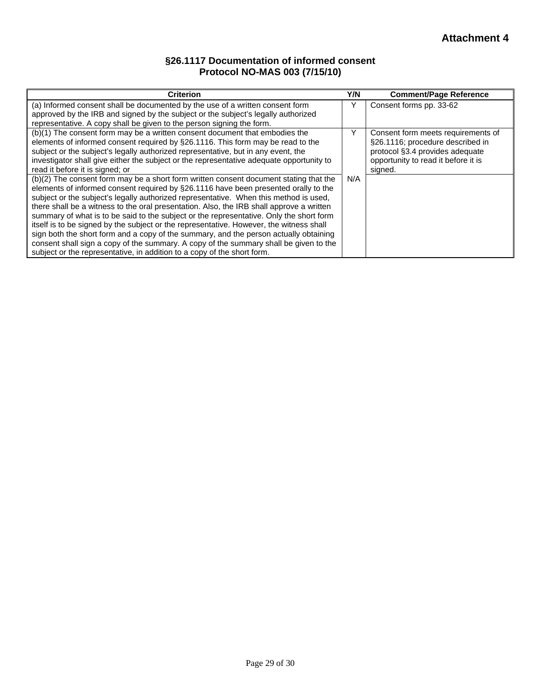### **§26.1117 Documentation of informed consent Protocol NO-MAS 003 (7/15/10)**

| <b>Criterion</b>                                                                                                                                                                                                                                                                                                                                                                                                                                                                                                                                                                                                                                                                                                                                                                                                     |  | <b>Comment/Page Reference</b>                                                                                                                               |
|----------------------------------------------------------------------------------------------------------------------------------------------------------------------------------------------------------------------------------------------------------------------------------------------------------------------------------------------------------------------------------------------------------------------------------------------------------------------------------------------------------------------------------------------------------------------------------------------------------------------------------------------------------------------------------------------------------------------------------------------------------------------------------------------------------------------|--|-------------------------------------------------------------------------------------------------------------------------------------------------------------|
| (a) Informed consent shall be documented by the use of a written consent form<br>approved by the IRB and signed by the subject or the subject's legally authorized                                                                                                                                                                                                                                                                                                                                                                                                                                                                                                                                                                                                                                                   |  | Consent forms pp. 33-62                                                                                                                                     |
| representative. A copy shall be given to the person signing the form.                                                                                                                                                                                                                                                                                                                                                                                                                                                                                                                                                                                                                                                                                                                                                |  |                                                                                                                                                             |
| (b)(1) The consent form may be a written consent document that embodies the<br>elements of informed consent required by §26.1116. This form may be read to the<br>subject or the subject's legally authorized representative, but in any event, the<br>investigator shall give either the subject or the representative adequate opportunity to<br>read it before it is signed; or                                                                                                                                                                                                                                                                                                                                                                                                                                   |  | Consent form meets requirements of<br>§26.1116; procedure described in<br>protocol §3.4 provides adequate<br>opportunity to read it before it is<br>signed. |
| (b)(2) The consent form may be a short form written consent document stating that the<br>elements of informed consent required by §26.1116 have been presented orally to the<br>subject or the subject's legally authorized representative. When this method is used,<br>there shall be a witness to the oral presentation. Also, the IRB shall approve a written<br>summary of what is to be said to the subject or the representative. Only the short form<br>itself is to be signed by the subject or the representative. However, the witness shall<br>sign both the short form and a copy of the summary, and the person actually obtaining<br>consent shall sign a copy of the summary. A copy of the summary shall be given to the<br>subject or the representative, in addition to a copy of the short form. |  |                                                                                                                                                             |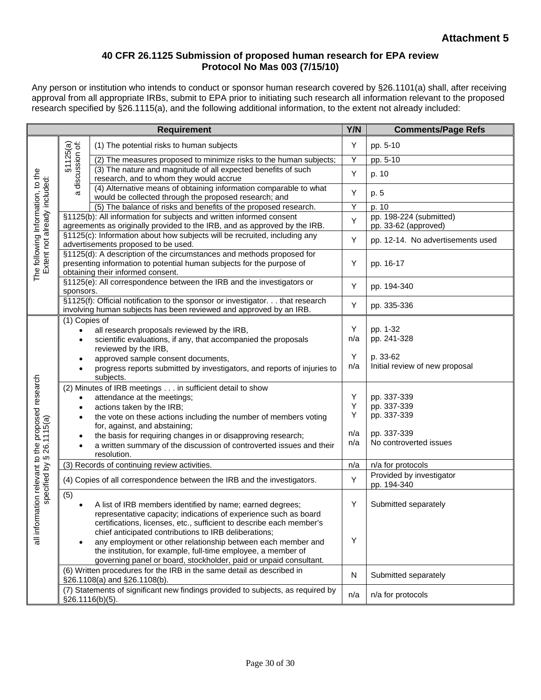#### **40 CFR 26.1125 Submission of proposed human research for EPA review Protocol No Mas 003 (7/15/10)**

Any person or institution who intends to conduct or sponsor human research covered by §26.1101(a) shall, after receiving approval from all appropriate IRBs, submit to EPA prior to initiating such research all information relevant to the proposed research specified by §26.1115(a), and the following additional information, to the extent not already included:

| <b>Requirement</b>                                                    |                                                                                                                                                                                        |                                                                                                                                                     | Y/N    | <b>Comments/Page Refs</b>                       |
|-----------------------------------------------------------------------|----------------------------------------------------------------------------------------------------------------------------------------------------------------------------------------|-----------------------------------------------------------------------------------------------------------------------------------------------------|--------|-------------------------------------------------|
| The following Information, to the<br>Extent not already included:     |                                                                                                                                                                                        | (1) The potential risks to human subjects                                                                                                           | Υ      | pp. 5-10                                        |
|                                                                       |                                                                                                                                                                                        | (2) The measures proposed to minimize risks to the human subjects;                                                                                  | Υ      | pp. 5-10                                        |
|                                                                       | §1125(a)<br>discussion of:<br>σ                                                                                                                                                        | (3) The nature and magnitude of all expected benefits of such<br>research, and to whom they would accrue                                            | Υ      | p. 10                                           |
|                                                                       |                                                                                                                                                                                        | (4) Alternative means of obtaining information comparable to what<br>would be collected through the proposed research; and                          | Υ      | p. 5                                            |
|                                                                       | (5) The balance of risks and benefits of the proposed research.                                                                                                                        |                                                                                                                                                     | Ÿ      | p. 10                                           |
|                                                                       | §1125(b): All information for subjects and written informed consent<br>agreements as originally provided to the IRB, and as approved by the IRB.                                       |                                                                                                                                                     | Υ      | pp. 198-224 (submitted)<br>pp. 33-62 (approved) |
|                                                                       | §1125(c): Information about how subjects will be recruited, including any<br>advertisements proposed to be used.                                                                       |                                                                                                                                                     | Υ      | pp. 12-14. No advertisements used               |
|                                                                       | §1125(d): A description of the circumstances and methods proposed for<br>presenting information to potential human subjects for the purpose of<br>obtaining their informed consent.    |                                                                                                                                                     | Υ      | pp. 16-17                                       |
|                                                                       | §1125(e): All correspondence between the IRB and the investigators or<br>sponsors.                                                                                                     |                                                                                                                                                     | Υ      | pp. 194-340                                     |
|                                                                       |                                                                                                                                                                                        | §1125(f): Official notification to the sponsor or investigator. that research<br>involving human subjects has been reviewed and approved by an IRB. | Υ      | pp. 335-336                                     |
|                                                                       | (1) Copies of                                                                                                                                                                          |                                                                                                                                                     |        |                                                 |
|                                                                       | $\bullet$                                                                                                                                                                              | all research proposals reviewed by the IRB,                                                                                                         | Υ      | pp. 1-32                                        |
|                                                                       | $\bullet$                                                                                                                                                                              | scientific evaluations, if any, that accompanied the proposals                                                                                      | n/a    | pp. 241-328                                     |
|                                                                       |                                                                                                                                                                                        | reviewed by the IRB,                                                                                                                                | Υ      | p. 33-62                                        |
|                                                                       | $\bullet$                                                                                                                                                                              | approved sample consent documents,<br>progress reports submitted by investigators, and reports of injuries to                                       | n/a    | Initial review of new proposal                  |
|                                                                       |                                                                                                                                                                                        | subjects.                                                                                                                                           |        |                                                 |
|                                                                       | (2) Minutes of IRB meetings in sufficient detail to show                                                                                                                               |                                                                                                                                                     |        |                                                 |
|                                                                       | $\bullet$                                                                                                                                                                              | attendance at the meetings;                                                                                                                         | Υ<br>Υ | pp. 337-339<br>pp. 337-339                      |
|                                                                       | $\bullet$                                                                                                                                                                              | actions taken by the IRB;                                                                                                                           | Υ      | pp. 337-339                                     |
|                                                                       | ٠                                                                                                                                                                                      | the vote on these actions including the number of members voting<br>for, against, and abstaining;                                                   |        |                                                 |
|                                                                       | $\bullet$                                                                                                                                                                              | the basis for requiring changes in or disapproving research;                                                                                        | n/a    | pp. 337-339                                     |
| mation relevant to the proposed research<br>specified by § 26.1115(a) |                                                                                                                                                                                        | a written summary of the discussion of controverted issues and their                                                                                | n/a    | No controverted issues                          |
|                                                                       |                                                                                                                                                                                        | resolution.                                                                                                                                         |        |                                                 |
|                                                                       | (3) Records of continuing review activities.                                                                                                                                           |                                                                                                                                                     | n/a    | n/a for protocols                               |
|                                                                       | (4) Copies of all correspondence between the IRB and the investigators.                                                                                                                |                                                                                                                                                     | Υ      | Provided by investigator<br>pp. 194-340         |
|                                                                       | (5)                                                                                                                                                                                    |                                                                                                                                                     |        |                                                 |
| all infor                                                             |                                                                                                                                                                                        | A list of IRB members identified by name; earned degrees;                                                                                           | Υ      | Submitted separately                            |
|                                                                       |                                                                                                                                                                                        | representative capacity; indications of experience such as board                                                                                    |        |                                                 |
|                                                                       |                                                                                                                                                                                        | certifications, licenses, etc., sufficient to describe each member's                                                                                |        |                                                 |
|                                                                       | chief anticipated contributions to IRB deliberations;<br>any employment or other relationship between each member and<br>the institution, for example, full-time employee, a member of |                                                                                                                                                     | Υ      |                                                 |
|                                                                       |                                                                                                                                                                                        |                                                                                                                                                     |        |                                                 |
|                                                                       |                                                                                                                                                                                        | governing panel or board, stockholder, paid or unpaid consultant.                                                                                   |        |                                                 |
|                                                                       |                                                                                                                                                                                        | (6) Written procedures for the IRB in the same detail as described in                                                                               |        |                                                 |
|                                                                       | §26.1108(a) and §26.1108(b).                                                                                                                                                           |                                                                                                                                                     | N      | Submitted separately                            |
|                                                                       | (7) Statements of significant new findings provided to subjects, as required by                                                                                                        |                                                                                                                                                     | n/a    | n/a for protocols                               |
|                                                                       | §26.1116(b)(5).                                                                                                                                                                        |                                                                                                                                                     |        |                                                 |